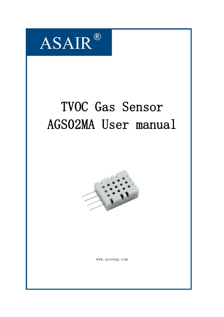

# TVOC Gas Sensor AGS02MA User manual



www.aosong.com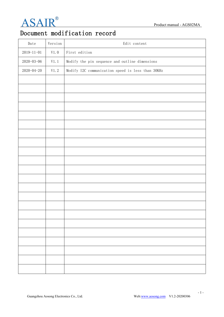

# Document modification record

| $\operatorname{\textsf{Date}}$ | Version                    | Edit content                                      |
|--------------------------------|----------------------------|---------------------------------------------------|
| $2019 - 11 - 01$               | V1.0                       | First edition                                     |
| $2020 - 03 - 06$               | V1.1                       | Modify the pin sequence and outline dimensions    |
| $2020 - 04 - 20$               | $\mathtt{V}1.\,\mathtt{2}$ | Modify I2C communication speed is less than 30KHz |
|                                |                            |                                                   |
|                                |                            |                                                   |
|                                |                            |                                                   |
|                                |                            |                                                   |
|                                |                            |                                                   |
|                                |                            |                                                   |
|                                |                            |                                                   |
|                                |                            |                                                   |
|                                |                            |                                                   |
|                                |                            |                                                   |
|                                |                            |                                                   |
|                                |                            |                                                   |
|                                |                            |                                                   |
|                                |                            |                                                   |
|                                |                            |                                                   |
|                                |                            |                                                   |
|                                |                            |                                                   |
|                                |                            |                                                   |
|                                |                            |                                                   |
|                                |                            |                                                   |
|                                |                            |                                                   |
|                                |                            |                                                   |

- 1 -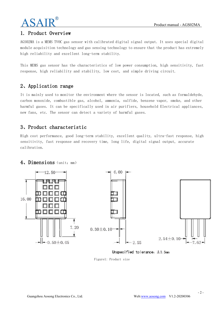# **SAI**

# 1. Product Overview

AGS02MA is a MEMS TVOC gas sensor with calibrated digital signal output. It uses special digital module acquisition technology and gas sensing technology to ensure that the product has extremely high reliability and excellent long-term stability.

This MEMS gas sensor has the characteristics of low power consumption, high sensitivity, fast response, high reliability and stability, low cost, and simple driving circuit.

# 2、Application range

It is mainly used to monitor the environment where the sensor is located, such as formaldehyde, carbon monoxide, combustible gas, alcohol, ammonia, sulfide, benzene vapor, smoke, and other harmful gases. It can be specifically used in air purifiers, household Electrical appliances, new fans, etc. The sensor can detect a variety of harmful gases.

# 3、Product characteristic

High cost performance, good long-term stability, excellent quality, ultra-fast response, high sensitivity, fast response and recovery time, long life, digital signal output, accurate calibration.



# 4、Dimensions (unit: mm)

Figure1: Product size

 $-2-$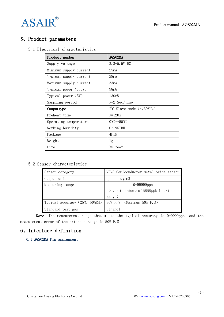# 5、Product parameters

5.1 Electrical characteristics

| Product number         | AGS02MA                                     |
|------------------------|---------------------------------------------|
| Supply voltage         | $3.3 - 5.5V$ DC                             |
| Minimum supply current | 25mA                                        |
| Typical supply current | 28mA                                        |
| Maximum supply current | 33mA                                        |
| Typical power $(3.3V)$ | 98mW                                        |
| Typical power (5V)     | 130mW                                       |
| Sampling period        | $>=2$ Sec/time                              |
| Output type            | $I^2C$ Slave mode ( $\leq 30KHz$ )          |
| Preheat time           | $>=120s$                                    |
| Operating temperature  | $0^{\circ}\text{C} \sim 50^{\circ}\text{C}$ |
| Working humidity       | $0\sim$ 95%RH                               |
| Package                | 4PIN                                        |
| Weight                 | 1g                                          |
| Life                   | $>5$ Year                                   |

### 5.2 Sensor characteristics

| Sensor category                                        | MEMS Semiconductor metal oxide sensor   |
|--------------------------------------------------------|-----------------------------------------|
| Output unit                                            | ppb or $\frac{ug}{m3}$                  |
| Measuring range                                        | $0 - 99999$ ppb                         |
|                                                        | (Over the above of 9999ppb is extended) |
|                                                        | range)                                  |
| Typical accuracy $(25^{\circ}\text{C} 50\% \text{RH})$ | 30% F.S (Maximum 50% F.S)               |
| Standard test gas                                      | Ethano1                                 |

Note: The measurement range that meets the typical accuracy is 0-9999ppb, and the measurement error of the extended range is 50% F.S

# 6、Interface definition

### 6.1 AGS02MA Pin assignment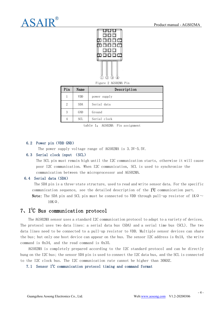

Figure 2 AGS02MA Pin

| Pin | Name       | Description  |
|-----|------------|--------------|
|     | <b>VDD</b> | power supply |
| 2   | <b>SDA</b> | Serial data  |
| 3   | <b>GND</b> | Ground       |
| 4   | <b>SCL</b> | Serial clock |

table 1: AGS02MA Pin assignment

#### 6.2 Power pin(VDD GND)

The power supply voltage range of AGS02MA is 3.3V-5.5V.

#### 6.3 Serial clock input (SCL)

The SCL pin must remain high until the I2C communication starts, otherwise it will cause poor I2C communication. When I2C communication, SCL is used to synchronize the communication between the microprocessor and AGS02MA.

#### 6.4 Serial data(SDA)

The SDA pin is a three-state structure, used to read and write sensor data. For the specific communication sequence, see the detailed description of the  $\mathbf{I^2C}$  communication part. Note: The SDA pin and SCL pin must be connected to VDD through pull-up resistor of  $1K\Omega \sim$ 

10KΩ.

# 7、I <sup>2</sup>C Bus communication protocol

The AGS02MA sensor uses a standard I2C communication protocol to adapt to a variety of devices. The protocol uses two data lines: a serial data bus (SDA) and a serial time bus (SCL). The two data lines need to be connected to a pull-up resistor to VDD. Multiple sensor devices can share the bus; but only one host device can appear on the bus. The sensor I2C address is 0x1A, the write command is 0x34, and the read command is 0x35.

AGS02MA is completely prepared according to the I2C standard protocol and can be directly hung on the I2C bus; the sensor SDA pin is used to connect the I2C data bus, and the SCL is connected to the I2C clock bus. The I2C communication rate cannot be higher than 30KHZ.

7.1 Sensor I <sup>2</sup>C communication protocol timing and command format

- 4 -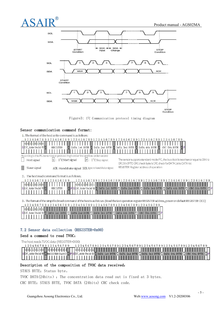Product manual - AGS02MA



Figure3: I <sup>2</sup>C Communication protocol timing diagram

#### Sensor communication command format:



#### 7.2 Sensor data collection (REGISTER=0x00)

#### Send a command to read TVOC:

The host reads TVOC data (REGISTER=0X00)

| 1 2 3 4 5 6 7 8 9 1 2 3 4 5 6 7 8 9 1 2 3 4 5 6 7 8 9 1 2 3 4 5 6 7 8 9 1 2 3 4 5 6 7 8 9 1 2 3 4 5 6 7 8 9 1 2 3 4 5 6 7 8 9 |  |
|-------------------------------------------------------------------------------------------------------------------------------|--|
|                                                                                                                               |  |
|                                                                                                                               |  |
|                                                                                                                               |  |

#### Description of the composition of TVOC data received:

STAUS BYTE: Status byte。

TVOC DATA $(24bits)$ : The concentration data read out is fixed at 3 bytes. CRC BYTE: STAUS BYTE, TVOC DATA (24bits) CRC check code.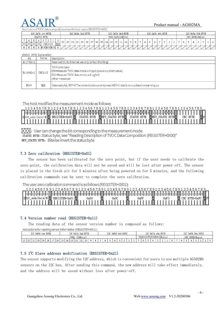#### Product manual - AGS02MA

scription of TVOC data composition when the host reads (REGISTER=0X00)

|  |  | I2C DATA 1st BYTE |         |                    |            |    |    |    |    | I2C DATA 2nd BYTE |        |    |                 |                 |               |               | I2C DATA 3rd BYTE  |  |  | I2C DATA 4th BYTE |  |  |  |  | I2C DATA 5th BYTE |   |  |
|--|--|-------------------|---------|--------------------|------------|----|----|----|----|-------------------|--------|----|-----------------|-----------------|---------------|---------------|--------------------|--|--|-------------------|--|--|--|--|-------------------|---|--|
|  |  | STATUS BYTE       |         |                    |            |    |    |    |    |                   |        |    |                 |                 |               |               | TVOC DATA (24Bits) |  |  |                   |  |  |  |  | CRC BYTE (8bits)  |   |  |
|  |  |                   | $\sim$  |                    |            | 23 |    |    |    |                   | $\sim$ |    |                 |                 | $\rightarrow$ |               |                    |  |  |                   |  |  |  |  |                   |   |  |
|  |  |                   | CH[2:0] |                    | <b>RDY</b> |    | 44 | ▵∸ | 19 | 18                |        | 16 | 15 <sup>1</sup> | 14 <sub>1</sub> |               | $\frac{1}{2}$ | 10                 |  |  |                   |  |  |  |  |                   | ~ |  |
|  |  |                   |         | l ס/ זוו ס/ זוו ס/ |            |    |    |    |    |                   |        |    |                 |                 |               |               |                    |  |  |                   |  |  |  |  |                   |   |  |

#### STATUS BYTE Explanation

| Bit       | Name       | description                                                                                                                                 |
|-----------|------------|---------------------------------------------------------------------------------------------------------------------------------------------|
| Bit7-Bit4 |            | Reserved bit, for internal use only (write 0 if writing)                                                                                    |
| Bit3-Bit1 | CH[2:0]    | TVOC data type:<br>000=Measure TVOC data mode unit ppb (power-up silent value)<br>001=Measure TVOC data mode unit ug/m3<br>Other = reserved |
| Bit0      | <b>RDY</b> | Data ready bit, RDY=0 The latest data is currently read. RDY=1 data is not updated or warming up                                            |

The host modifies the measurement mode as follows:

| 1 2 3 4 5 6 7 8 9 1 2 3 4 5 6 7 8 9 1 2 3 4 5 6 7 8 9 1 2 3 4 5 6 7 8 9 1 2 3 4 5 6 7 8 9 1 2 3 4 5 6 7 8 9 1 |  |
|---------------------------------------------------------------------------------------------------------------|--|
|                                                                                                               |  |
| SIZC_Addr(0x1A)W的 REGISTER=0x00 的 STATUS BYTE 随REV_STATUS BYTE的 STATUS BYTE 的REV_STATUS BYTE的 CRC BYTE        |  |
| ים ונווורם ומונוווים ונווווים ונוווים ונוווים ומונווים ומונווים ומונוווים ומונוווו                            |  |

 $\beta$   $\beta$  . User can change the bit corresponding to the measurement mode sTATUS BYTE: Status byte, see "Reading Description of TVOC Data Composition (REGISTER=0X00)" REV\_STATUS BYTE: Bitwise invert the status byte

#### 7.3 Zero calibration (REGISTER=0x01)

The sensor has been calibrated for the zero point, but if the user needs to calibrate the zero point, the calibration data will not be saved and will be lost after power off. The sensor is placed in the fresh air for 5 minutes after being powered on for 5 minutes, and the following calibration commands can be sent to complete the zero calibration.

The user zero calibration command is as follows (REGISTER=0X01):



#### 7.4 Version number read (REGISTER=0x11)

The reading data of the sensor version number is composed as follows:

Instructions for reading sensor information (REGISTER=0X11)

|       | I2C DATA 1st BYTE |    |    |  |     |  |      |    | I2C DATA 2nd BYTE |                |  |  |  | I2C DATA 3rd BYTE |  |  |         | I2C DATA 4th BYTE     |  |  |  | I2C DATA 5th BYTE |                      |  |  |
|-------|-------------------|----|----|--|-----|--|------|----|-------------------|----------------|--|--|--|-------------------|--|--|---------|-----------------------|--|--|--|-------------------|----------------------|--|--|
|       |                   |    |    |  |     |  | Keep |    | (24bits)          |                |  |  |  |                   |  |  | Version | `on nformation(8bits) |  |  |  |                   | $CRC$ BYTE $(8bits)$ |  |  |
| 23 22 | . Chi             | 20 | 10 |  | 16. |  |      | -- | .                 | $^{\prime}$ 10 |  |  |  |                   |  |  |         |                       |  |  |  |                   |                      |  |  |

### 7.5 I <sup>2</sup>C Slave address modification (REGISTER=0x21)

The sensor supports modifying the I2C address, which is convenient for users to use multiple AGS02MA sensors on the I2C bus. After sending this command, the new address will take effect immediately, and the address will be saved without loss after power-off.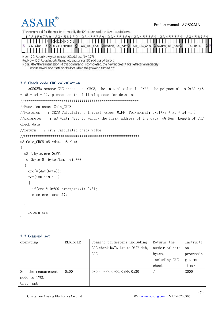# **ASAIR®**

| The command for the master to modify the I2C address of the slave is as follows:                                                                                                                                                                                                                     |
|------------------------------------------------------------------------------------------------------------------------------------------------------------------------------------------------------------------------------------------------------------------------------------------------------|
| 2345678912345678912345678912345678912345678<br>-9<br>3.<br>67891<br>3456789<br>$\overline{4}$<br>5.<br>010111010101011<br>New_I2C_Addr CRevNew_I2C_AddrC<br>REGISTER=0x21 卷<br>New I2C Addr                                                                                                          |
| New_DC_Addr: Newly set sensor DC address (1~127)<br>RevNew_DC_Addr. Inverts the newly set sensor I2C address bit by bit<br>Note: After the transmission of this command is completed, the new address takes effect immediately<br>and is saved, and it will not belost when the power is turned off. |
| 7.6 Check code CRC calculation                                                                                                                                                                                                                                                                       |
| AGSO2MA sensor CRC check uses CRC8, the initial value is OXFF, the polynomial is $0x31$ ( $x8$ )                                                                                                                                                                                                     |
| $+ x5 + x4 + 1$ , please see the following code for details:                                                                                                                                                                                                                                         |
|                                                                                                                                                                                                                                                                                                      |
| //Function name: Calc CRC8                                                                                                                                                                                                                                                                           |
| : CRC8 Calculation, Initial value: $0xFF$ , Polynomial: $0x31(x8 + x5 + x4 +1)$<br>//Features                                                                                                                                                                                                        |
| $//$ parameter<br>: u8 *dat: Need to verify the first address of the data; u8 Num: Length of CRC                                                                                                                                                                                                     |
| check data                                                                                                                                                                                                                                                                                           |
| : crc: Calculated check value<br>//return                                                                                                                                                                                                                                                            |
|                                                                                                                                                                                                                                                                                                      |
| u8 Calc CRC8 (u8 *dat, u8 Num)                                                                                                                                                                                                                                                                       |
|                                                                                                                                                                                                                                                                                                      |
| u8 i, byte, crc=0xFF;                                                                                                                                                                                                                                                                                |
| for $(byte=0; byte$                                                                                                                                                                                                                                                                                  |
|                                                                                                                                                                                                                                                                                                      |
| $\text{circ}^{\text{--}}(\text{dat}[byte]),$                                                                                                                                                                                                                                                         |
| for $(i=0; i \le 8; i++)$                                                                                                                                                                                                                                                                            |
| if (crc & 0x80) $\text{crc} = (\text{crc} \langle 1 \rangle)^0 0x31$ ;                                                                                                                                                                                                                               |
| else $\text{crc}=(\text{crc}<<1);$                                                                                                                                                                                                                                                                   |
|                                                                                                                                                                                                                                                                                                      |
|                                                                                                                                                                                                                                                                                                      |
| return crc;                                                                                                                                                                                                                                                                                          |
|                                                                                                                                                                                                                                                                                                      |
|                                                                                                                                                                                                                                                                                                      |

#### 7.7 Command set

| operating           | REGISTER | Command parameters including    | Returns the    | Instructi |
|---------------------|----------|---------------------------------|----------------|-----------|
|                     |          | CRC check DATA 1st to DATA 4th, | number of data | on        |
|                     |          | <b>CRC</b>                      | bytes,         | processin |
|                     |          |                                 | including CRC  | g time    |
|                     |          |                                 | check          | (ms)      |
| Set the measurement | 0x00     | 0x00, 0xFF, 0x00, 0xFF, 0x30    |                | 2000      |
| mode to TVOC        |          |                                 |                |           |
| Unit: ppb           |          |                                 |                |           |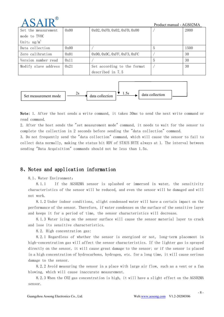

| ADAIN                |      |                              | Product manual - AGS02MA |      |
|----------------------|------|------------------------------|--------------------------|------|
| Set the measurement  | 0x00 | 0x02, 0xFD, 0x02, 0xFD, 0x00 |                          | 2000 |
| mode to TVOC         |      |                              |                          |      |
| Unit: $ug/m^3$       |      |                              |                          |      |
| Data collection      | 0x00 |                              |                          | 1500 |
| Zero calibration     | 0x01 | 0x00, 0x0C, 0xFF, 0xF3, 0xFC |                          | 30   |
| Version number read  | 0x11 |                              |                          | 30   |
| Modify slave address | 0x21 | Set according to the format  |                          | 30   |
|                      |      | described in 7.5             |                          |      |



Note: 1. After the host sends a write command, it takes 30ms to send the next write command or read command.

2. After the host sends the "set measurement mode" command, it needs to wait for the sensor to complete the collection in 2 seconds before sending the "data collection" command.

3. Do not frequently send the "data collection" command, which will cause the sensor to fail to collect data normally, making the status bit RDY of STAUS BYTE always at 1. The interval between sending "Data Acquisition" commands should not be less than 1.5s.

# 8、Notes and application information

#### 8.1、Water Environment:

8.1.1 If the AGS02MA sensor is splashed or immersed in water, the sensitivity characteristics of the sensor will be reduced, and even the sensor will be damaged and will not work.

8.1.2 Under indoor conditions, slight condensed water will have a certain impact on the performance of the sensor. Therefore, if water condenses on the surface of the sensitive layer and keeps it for a period of time, the sensor characteristics will decrease.

8.1.3 Water icing on the sensor surface will cause the sensor material layer to crack and lose its sensitive characteristics.

8.2. High concentration gas:

8.2.1 Regardless of whether the sensor is energized or not, long-term placement in high-concentration gas will affect the sensor characteristics. If the lighter gas is sprayed directly on the sensor, it will cause great damage to the sensor; or if the sensor is placed in a high concentration of hydrocarbons, hydrogen, etc. for a long time, it will cause serious damage to the sensor.

8.2.2 Avoid measuring the sensor in a place with large air flow, such as a vent or a fan blowing, which will cause inaccurate measurement.

8.2.3 When the CO2 gas concentration is high, it will have a slight effect on the AGS02MA sensor.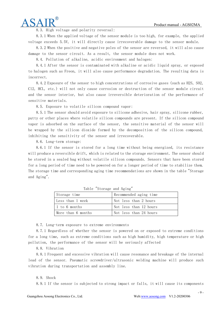8.3. High voltage and polarity reversal:

8.3.1 When the applied voltage of the sensor module is too high, for example, the applied voltage exceeds 5.5V, it will directly cause irrecoverable damage to the sensor module.

8.3.2 When the positive and negative poles of the sensor are reversed, it will also cause damage to the sensor circuit. As a result, the sensor module does not work.

8.4. Pollution of alkaline, acidic environment and halogen:

8.4.1 After the sensor is contaminated with alkaline or acidic liquid spray, or exposed to halogen such as Freon, it will also cause performance degradation. The resulting data is incorrect.

8.4.2 Exposure of the sensor to high concentrations of corrosive gases (such as H2S, SO2, Cl2, HCL, etc.) will not only cause corrosion or destruction of the sensor module circuit and the sensor interior, but also cause irreversible deterioration of the performance of sensitive materials.

8.5. Exposure to volatile silicon compound vapor:

8.5.1 The sensor should avoid exposure to silicone adhesive, hair spray, silicone rubber, putty or other places where volatile silicon compounds are present. If the silicon compound vapor is adsorbed on the surface of the sensor, the sensitive material of the sensor will be wrapped by the silicon dioxide formed by the decomposition of the silicon compound, inhibiting the sensitivity of the sensor and irrecoverable.

8.6. Long-term storage:

8.6.1 If the sensor is stored for a long time without being energized, its resistance will produce a reversible drift, which is related to the storage environment. The sensor should be stored in a sealed bag without volatile silicon compounds. Sensors that have been stored for a long period of time need to be powered on for a longer period of time to stabilize them. The storage time and corresponding aging time recommendations are shown in the table "Storage and Aging".

| Storage time       | Recommended aging time |
|--------------------|------------------------|
| Less than 1 week   | Not less than 2 hours  |
| 1 to 6 months      | Not less than 12 hours |
| More than 6 months | Not less than 24 hours |

Table "Storage and Aging"

8.7. Long-term exposure to extreme environments

8.7.1 Regardless of whether the sensor is powered on or exposed to extreme conditions for a long time, such as extreme conditions such as high humidity, high temperature or high pollution, the performance of the sensor will be seriously affected

8.8. Vibration

8.8.1 Frequent and excessive vibration will cause resonance and breakage of the internal lead of the sensor. Pneumatic screwdriver/ultrasonic welding machine will produce such vibration during transportation and assembly line.

#### 8.9. Shock

8.9.1 If the sensor is subjected to strong impact or falls, it will cause its components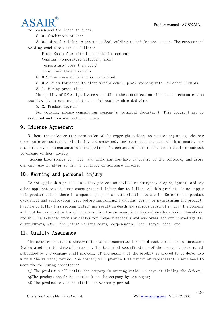



to loosen and the leads to break.

8.10. Conditions of use:

8.10.1 Manual welding is the most ideal welding method for the sensor. The recommended welding conditions are as follows:

Flux: Rosin flux with least chlorine content

Constant temperature soldering iron:

Temperature: less than 300℃

Time: less than 3 seconds

8.10.2 Over-wave soldering is prohibited.

8.10.3 It is forbidden to clean with alcohol, plate washing water or other liquids.

8.11. Wiring precautions

The quality of DATA signal wire will affect the communication distance and communication quality. It is recommended to use high quality shielded wire.

8.12. Product upgrade

For details, please consult our company's technical department. This document may be modified and improved without notice.

# 9、License Agreement

Without the prior written permission of the copyright holder, no part or any means, whether electronic or mechanical (including photocopying), may reproduce any part of this manual, nor shall it convey its contents to third parties. The contents of this instruction manual are subject to change without notice.

Aosong Electronics Co., Ltd. and third parties have ownership of the software, and users can only use it after signing a contract or software license.

# 10、Warning and personal injury

Do not apply this product to safety protection devices or emergency stop equipment, and any other applications that may cause personal injury due to failure of this product. Do not apply this product unless there is a special purpose or authorization to use it. Refer to the product data sheet and application guide before installing, handling, using, or maintaining the product. Failure to follow this recommendation may result in death and serious personal injury. The company will not be responsible for all compensation for personal injuries and deaths arising therefrom, and will be exempted from any claims for company managers and employees and affiliated agents, distributors, etc., including: various costs, compensation Fees, lawyer fees, etc.

# 11、Quality Assurance

The company provides a three-month quality guarantee for its direct purchasers of products (calculated from the date of shipment). The technical specifications of the product's data manual published by the company shall prevail. If the quality of the product is proved to be defective within the warranty period, the company will provide free repair or replacement. Users need to meet the following conditions:

① The product shall notify the company in writing within 14 days of finding the defect;

- ②The product should be sent back to the company by the buyer;
- ③ The product shouldbe within the warranty period.